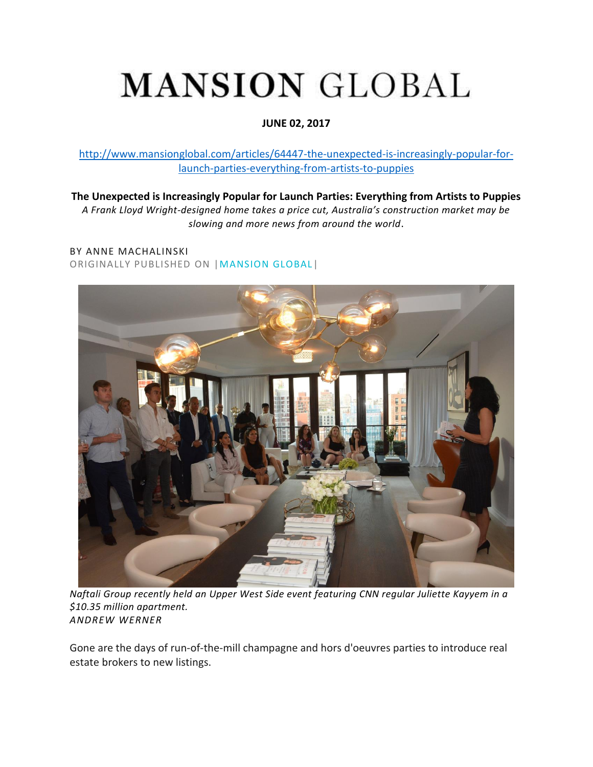## **MANSION GLOBAL**

## **JUNE 02, 2017**

[http://www.mansionglobal.com/articles/64447-the-unexpected-is-increasingly-popular-for](http://www.mansionglobal.com/articles/64447-the-unexpected-is-increasingly-popular-for-launch-parties-everything-from-artists-to-puppies)[launch-parties-everything-from-artists-to-puppies](http://www.mansionglobal.com/articles/64447-the-unexpected-is-increasingly-popular-for-launch-parties-everything-from-artists-to-puppies)

**The Unexpected is Increasingly Popular for Launch Parties: Everything from Artists to Puppies** *A Frank Lloyd Wright-designed home takes a price cut, Australia's construction market may be slowing and more news from around the world*.

## BY ANNE MACHALINSKI ORIGINALLY PUBLISHED ON [|MANSION GLOBAL|](http://www.mansionglobal.com/)



*Naftali Group recently held an Upper West Side event featuring CNN regular Juliette Kayyem in a \$10.35 million apartment. ANDREW WERNER*

Gone are the days of run-of-the-mill champagne and hors d'oeuvres parties to introduce real estate brokers to new listings.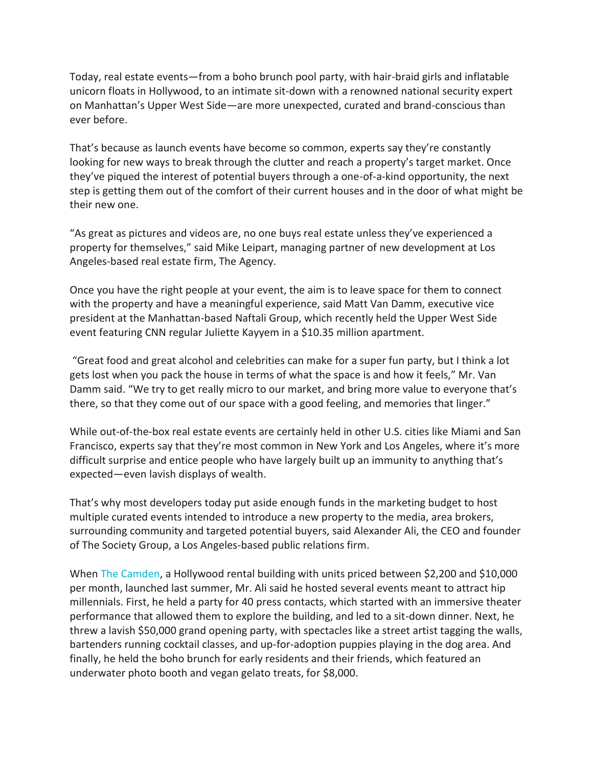Today, real estate events—from a boho brunch pool party, with hair-braid girls and inflatable unicorn floats in Hollywood, to an intimate sit-down with a renowned national security expert on Manhattan's Upper West Side—are more unexpected, curated and brand-conscious than ever before.

That's because as launch events have become so common, experts say they're constantly looking for new ways to break through the clutter and reach a property's target market. Once they've piqued the interest of potential buyers through a one-of-a-kind opportunity, the next step is getting them out of the comfort of their current houses and in the door of what might be their new one.

"As great as pictures and videos are, no one buys real estate unless they've experienced a property for themselves," said Mike Leipart, managing partner of new development at Los Angeles-based real estate firm, The Agency.

Once you have the right people at your event, the aim is to leave space for them to connect with the property and have a meaningful experience, said Matt Van Damm, executive vice president at the Manhattan-based Naftali Group, which recently held the Upper West Side event featuring CNN regular Juliette Kayyem in a \$10.35 million apartment.

"Great food and great alcohol and celebrities can make for a super fun party, but I think a lot gets lost when you pack the house in terms of what the space is and how it feels," Mr. Van Damm said. "We try to get really micro to our market, and bring more value to everyone that's there, so that they come out of our space with a good feeling, and memories that linger."

While out-of-the-box real estate events are certainly held in other U.S. cities like Miami and San Francisco, experts say that they're most common in New York and Los Angeles, where it's more difficult surprise and entice people who have largely built up an immunity to anything that's expected—even lavish displays of wealth.

That's why most developers today put aside enough funds in the marketing budget to host multiple curated events intended to introduce a new property to the media, area brokers, surrounding community and targeted potential buyers, said Alexander Ali, the CEO and founder of The Society Group, a Los Angeles-based public relations firm.

When [The Camden,](http://www.thecamdenlife.com/) a Hollywood rental building with units priced between \$2,200 and \$10,000 per month, launched last summer, Mr. Ali said he hosted several events meant to attract hip millennials. First, he held a party for 40 press contacts, which started with an immersive theater performance that allowed them to explore the building, and led to a sit-down dinner. Next, he threw a lavish \$50,000 grand opening party, with spectacles like a street artist tagging the walls, bartenders running cocktail classes, and up-for-adoption puppies playing in the dog area. And finally, he held the boho brunch for early residents and their friends, which featured an underwater photo booth and vegan gelato treats, for \$8,000.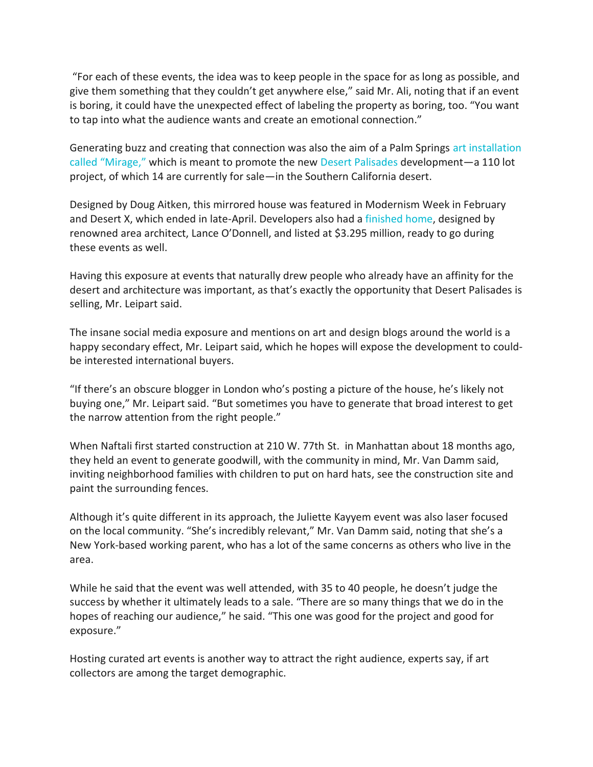"For each of these events, the idea was to keep people in the space for as long as possible, and give them something that they couldn't get anywhere else," said Mr. Ali, noting that if an event is boring, it could have the unexpected effect of labeling the property as boring, too. "You want to tap into what the audience wants and create an emotional connection."

Generating buzz and creating that connection was also the aim of a Palm Springs [art installation](https://www.dougaitkenmirage.com/)  [called "Mirage,"](https://www.dougaitkenmirage.com/) which is meant to promote the new [Desert Palisades](http://www.desertpalisades.com/) development—a 110 lot project, of which 14 are currently for sale—in the Southern California desert.

Designed by Doug Aitken, this mirrored house was featured in Modernism Week in February and Desert X, which ended in late-April. Developers also had a [finished home,](http://www.theagencyre.com/listing/sl1704386-lot-63-desert-palisades-palm-springs/) designed by renowned area architect, Lance O'Donnell, and listed at \$3.295 million, ready to go during these events as well.

Having this exposure at events that naturally drew people who already have an affinity for the desert and architecture was important, as that's exactly the opportunity that Desert Palisades is selling, Mr. Leipart said.

The insane social media exposure and mentions on art and design blogs around the world is a happy secondary effect, Mr. Leipart said, which he hopes will expose the development to couldbe interested international buyers.

"If there's an obscure blogger in London who's posting a picture of the house, he's likely not buying one," Mr. Leipart said. "But sometimes you have to generate that broad interest to get the narrow attention from the right people."

When Naftali first started construction at 210 W. 77th St. in Manhattan about 18 months ago, they held an event to generate goodwill, with the community in mind, Mr. Van Damm said, inviting neighborhood families with children to put on hard hats, see the construction site and paint the surrounding fences.

Although it's quite different in its approach, the Juliette Kayyem event was also laser focused on the local community. "She's incredibly relevant," Mr. Van Damm said, noting that she's a New York-based working parent, who has a lot of the same concerns as others who live in the area.

While he said that the event was well attended, with 35 to 40 people, he doesn't judge the success by whether it ultimately leads to a sale. "There are so many things that we do in the hopes of reaching our audience," he said. "This one was good for the project and good for exposure."

Hosting curated art events is another way to attract the right audience, experts say, if art collectors are among the target demographic.